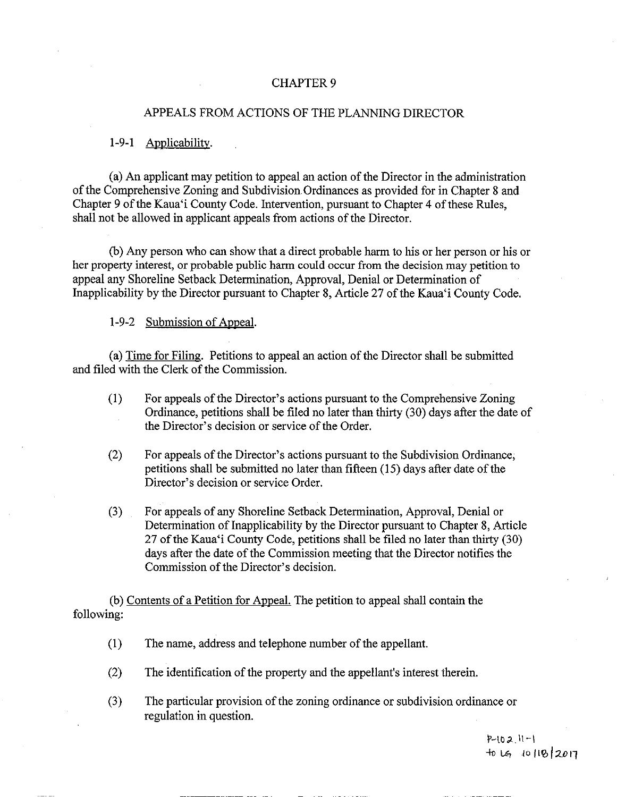#### CHAPTER 9

### APPEALS FROM ACTIONS OF THE PLANNING DIRECTOR

1-9-1 Applicability.

a) An applicant may petition to appeal an action of the Director in the administration of the Comprehensive Zoning and Subdivision.Ordinances as provided for in Chapter <sup>8</sup> and Chapter <sup>9</sup> of the Kaua`i County Code. Intervention, pursuant to Chapter 4 of these Rules, shall not be allowed in applicant appeals from actions of the Director.

b) Any person who can show that a direct probable harm to his or her person or his or her property interest, or probable public harm could occur from the decision may petition to appeal any Shoreline Setback Determination, Approval, Denial or Determination of Inapplicability by the Director pursuant to Chapter 8, Article 27 of the Kaua'i County Code.

## 1-9-2 Submission of Appeal.

a) Time for Filing. Petitions to appeal an action of the Director shall be submitted and filed with the Clerk of the Commission.

- 1) For appeals of the Director' <sup>s</sup> actions pursuant to the Comprehensive Zoning Ordinance, petitions shall be filed no later than thirty (30) days after the date of the Director's decision or service of the Order.
- 2) For appeals of the Director' <sup>s</sup> actions pursuant to the Subdivision Ordinance, petitions shall be submitted no later than fifteen ( 15) days after date of the Director's decision or service Order.
- 3) For appeals of any Shoreline Setback Determination, Approval, Denial or Determination of Inapplicability by the Director pursuant to Chapter 8, Article 27 of the Kaua`i County Code, petitions shall be filed no later than thirty (30) days after the date of the Commission meeting that the Director notifies the Commission of the Director's decision.

b) Contents of <sup>a</sup> Petition for Appeal. The petition to appeal shall contain the following:

- 1) The name, address and telephone number of the appellant.
- 2) The identification of the property and the appellant's interest therein.
- 3) The particular provision of the zoning ordinance or subdivision ordinance or regulation in question.

 $P - 102$   $H - 1$  $+$ 0 14 10 118 2017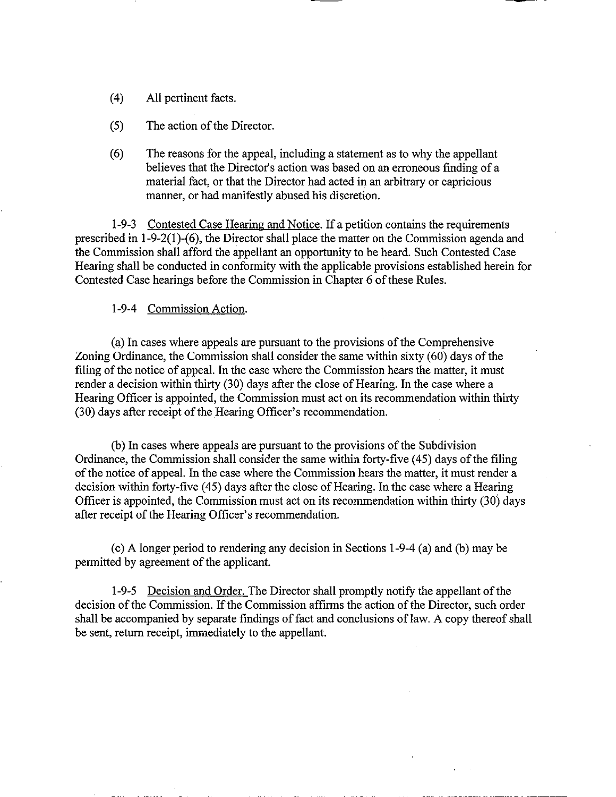- 4) All pertinent facts.
- 5) The action of the Director.
- 6) The reasons for the appeal, including a statement as to why the appellant believes that the Director's action was based on an erroneous finding of a material fact, or that the Director had acted in an arbitrary or capricious manner, or had manifestly abused his discretion.

1-9-3 Contested Case Hearing and Notice. If a petition contains the requirements prescribed in  $1-9-2(1)-(6)$ , the Director shall place the matter on the Commission agenda and the Commission shall afford the appellant an opportunity to be heard. Such Contested Case Hearing shall be conducted in conformity with the applicable provisions established herein for Contested Case hearings before the Commission in Chapter 6 of these Rules.

### 1-9-4 Commission Action.

a) In cases where appeals are pursuant to the provisions of the Comprehensive Zoning Ordinance, the Commission shall consider the same within sixty( 60) days of the filing of the notice of appeal. In the case where the Commission hears the matter, it must render a decision within thirty (30) days after the close of Hearing. In the case where a Hearing Officer is appointed, the Commission must act on its recommendation within thirty 30) days after receipt of the Hearing Officer' <sup>s</sup> recommendation.

b) In cases where appeals are pursuant to the provisions of the Subdivision Ordinance, the Commission shall consider the same within forty-five (45) days of the filing of the notice of appeal. In the case where the Commission hears the matter, it must render a decision within forty-five (45) days after the close of Hearing. In the case where a Hearing Officer is appointed, the Commission must act on its recommendation within thirty (30) days after receipt of the Hearing Officer's recommendation.

c) A longer period to rendering any decision in Sections 1- 9- 4 ( a) and (b) may be permitted by agreement of the applicant.

1-9-5 Decision and Order. The Director shall promptly notify the appellant of the decision of the Commission. If the Commission affirms the action of the Director, such order shall be accompanied by separate findings of fact and conclusions of law. A copy thereof shall be sent, return receipt, immediately to the appellant.